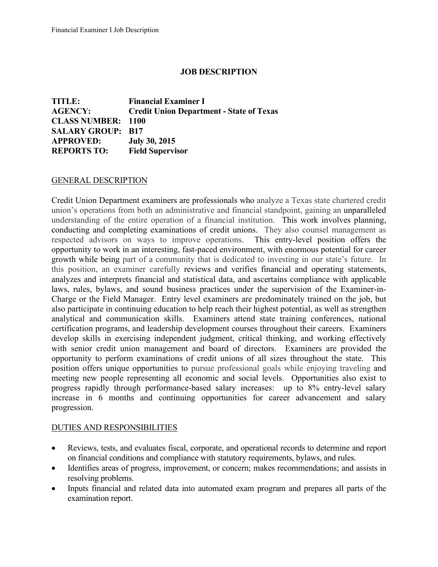# **JOB DESCRIPTION**

**TITLE: Financial Examiner I AGENCY: Credit Union Department - State of Texas CLASS NUMBER: 1100 SALARY GROUP: B17 APPROVED: July 30, 2015 REPORTS TO: Field Supervisor**

#### GENERAL DESCRIPTION

Credit Union Department examiners are professionals who analyze a Texas state chartered credit union's operations from both an administrative and financial standpoint, gaining an unparalleled understanding of the entire operation of a financial institution. This work involves planning, conducting and completing examinations of credit unions. They also counsel management as respected advisors on ways to improve operations. This entry-level position offers the opportunity to work in an interesting, fast-paced environment, with enormous potential for career growth while being part of a community that is dedicated to investing in our state's future. In this position, an examiner carefully reviews and verifies financial and operating statements, analyzes and interprets financial and statistical data, and ascertains compliance with applicable laws, rules, bylaws, and sound business practices under the supervision of the Examiner-in-Charge or the Field Manager. Entry level examiners are predominately trained on the job, but also participate in continuing education to help reach their highest potential, as well as strengthen analytical and communication skills. Examiners attend state training conferences, national certification programs, and leadership development courses throughout their careers. Examiners develop skills in exercising independent judgment, critical thinking, and working effectively with senior credit union management and board of directors. Examiners are provided the opportunity to perform examinations of credit unions of all sizes throughout the state. This position offers unique opportunities to pursue professional goals while enjoying traveling and meeting new people representing all economic and social levels. Opportunities also exist to progress rapidly through performance-based salary increases: up to 8% entry-level salary increase in 6 months and continuing opportunities for career advancement and salary progression.

### DUTIES AND RESPONSIBILITIES

- Reviews, tests, and evaluates fiscal, corporate, and operational records to determine and report on financial conditions and compliance with statutory requirements, bylaws, and rules.
- Identifies areas of progress, improvement, or concern; makes recommendations; and assists in resolving problems.
- Inputs financial and related data into automated exam program and prepares all parts of the examination report.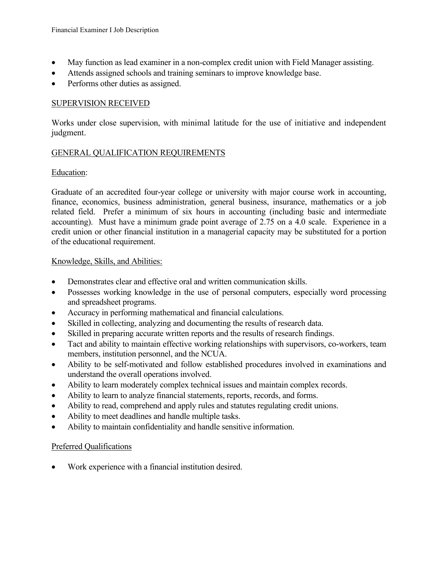- May function as lead examiner in a non-complex credit union with Field Manager assisting.
- Attends assigned schools and training seminars to improve knowledge base.
- Performs other duties as assigned.

# SUPERVISION RECEIVED

Works under close supervision, with minimal latitude for the use of initiative and independent judgment.

# GENERAL QUALIFICATION REQUIREMENTS

# Education:

Graduate of an accredited four-year college or university with major course work in accounting, finance, economics, business administration, general business, insurance, mathematics or a job related field. Prefer a minimum of six hours in accounting (including basic and intermediate accounting). Must have a minimum grade point average of 2.75 on a 4.0 scale. Experience in a credit union or other financial institution in a managerial capacity may be substituted for a portion of the educational requirement.

### Knowledge, Skills, and Abilities:

- Demonstrates clear and effective oral and written communication skills.
- Possesses working knowledge in the use of personal computers, especially word processing and spreadsheet programs.
- Accuracy in performing mathematical and financial calculations.
- Skilled in collecting, analyzing and documenting the results of research data.
- Skilled in preparing accurate written reports and the results of research findings.
- Tact and ability to maintain effective working relationships with supervisors, co-workers, team members, institution personnel, and the NCUA.
- Ability to be self-motivated and follow established procedures involved in examinations and understand the overall operations involved.
- Ability to learn moderately complex technical issues and maintain complex records.
- Ability to learn to analyze financial statements, reports, records, and forms.
- Ability to read, comprehend and apply rules and statutes regulating credit unions.
- Ability to meet deadlines and handle multiple tasks.
- Ability to maintain confidentiality and handle sensitive information.

### Preferred Qualifications

• Work experience with a financial institution desired.